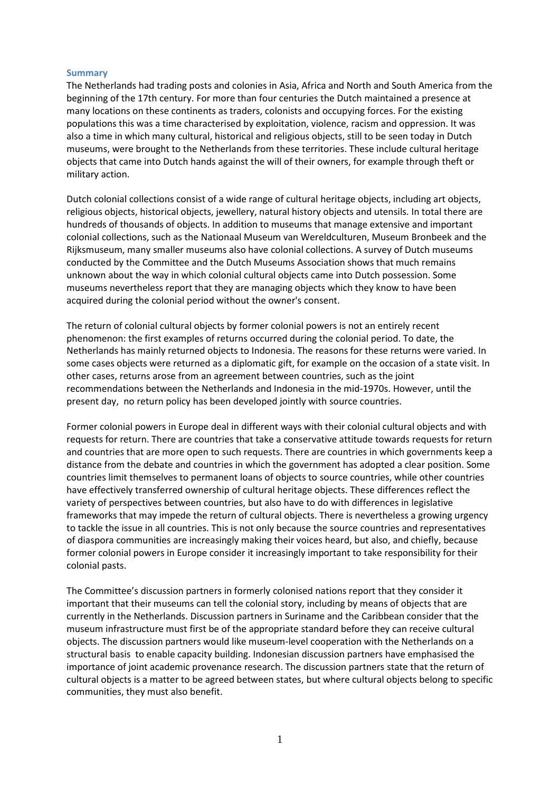## **Summary**

The Netherlands had trading posts and colonies in Asia, Africa and North and South America from the beginning of the 17th century. For more than four centuries the Dutch maintained a presence at many locations on these continents as traders, colonists and occupying forces. For the existing populations this was a time characterised by exploitation, violence, racism and oppression. It was also a time in which many cultural, historical and religious objects, still to be seen today in Dutch museums, were brought to the Netherlands from these territories. These include cultural heritage objects that came into Dutch hands against the will of their owners, for example through theft or military action.

Dutch colonial collections consist of a wide range of cultural heritage objects, including art objects, religious objects, historical objects, jewellery, natural history objects and utensils. In total there are hundreds of thousands of objects. In addition to museums that manage extensive and important colonial collections, such as the Nationaal Museum van Wereldculturen, Museum Bronbeek and the Rijksmuseum, many smaller museums also have colonial collections. A survey of Dutch museums conducted by the Committee and the Dutch Museums Association shows that much remains unknown about the way in which colonial cultural objects came into Dutch possession. Some museums nevertheless report that they are managing objects which they know to have been acquired during the colonial period without the owner's consent.

The return of colonial cultural objects by former colonial powers is not an entirely recent phenomenon: the first examples of returns occurred during the colonial period. To date, the Netherlands has mainly returned objects to Indonesia. The reasons for these returns were varied. In some cases objects were returned as a diplomatic gift, for example on the occasion of a state visit. In other cases, returns arose from an agreement between countries, such as the joint recommendations between the Netherlands and Indonesia in the mid-1970s. However, until the present day, no return policy has been developed jointly with source countries.

Former colonial powers in Europe deal in different ways with their colonial cultural objects and with requests for return. There are countries that take a conservative attitude towards requests for return and countries that are more open to such requests. There are countries in which governments keep a distance from the debate and countries in which the government has adopted a clear position. Some countries limit themselves to permanent loans of objects to source countries, while other countries have effectively transferred ownership of cultural heritage objects. These differences reflect the variety of perspectives between countries, but also have to do with differences in legislative frameworks that may impede the return of cultural objects. There is nevertheless a growing urgency to tackle the issue in all countries. This is not only because the source countries and representatives of diaspora communities are increasingly making their voices heard, but also, and chiefly, because former colonial powers in Europe consider it increasingly important to take responsibility for their colonial pasts.

The Committee's discussion partners in formerly colonised nations report that they consider it important that their museums can tell the colonial story, including by means of objects that are currently in the Netherlands. Discussion partners in Suriname and the Caribbean consider that the museum infrastructure must first be of the appropriate standard before they can receive cultural objects. The discussion partners would like museum-level cooperation with the Netherlands on a structural basis to enable capacity building. Indonesian discussion partners have emphasised the importance of joint academic provenance research. The discussion partners state that the return of cultural objects is a matter to be agreed between states, but where cultural objects belong to specific communities, they must also benefit.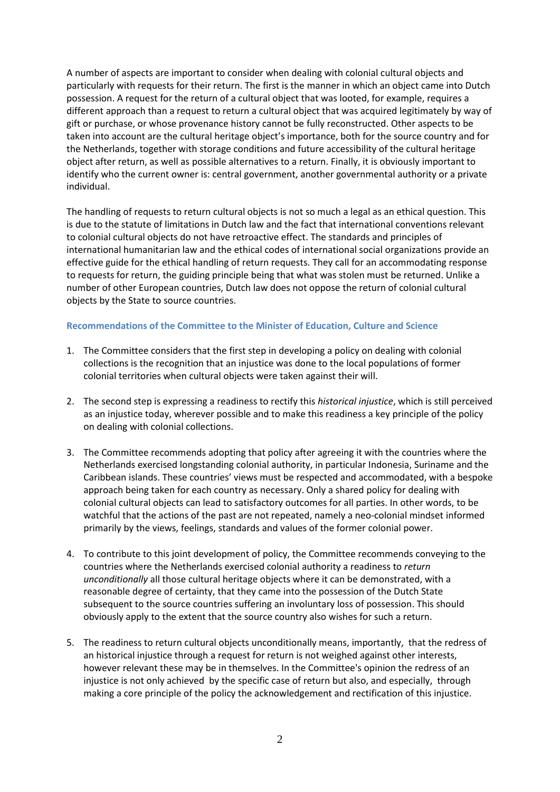A number of aspects are important to consider when dealing with colonial cultural objects and particularly with requests for their return. The first is the manner in which an object came into Dutch possession. A request for the return of a cultural object that was looted, for example, requires a different approach than a request to return a cultural object that was acquired legitimately by way of gift or purchase, or whose provenance history cannot be fully reconstructed. Other aspects to be taken into account are the cultural heritage object's importance, both for the source country and for the Netherlands, together with storage conditions and future accessibility of the cultural heritage object after return, as well as possible alternatives to a return. Finally, it is obviously important to identify who the current owner is: central government, another governmental authority or a private individual.

The handling of requests to return cultural objects is not so much a legal as an ethical question. This is due to the statute of limitations in Dutch law and the fact that international conventions relevant to colonial cultural objects do not have retroactive effect. The standards and principles of international humanitarian law and the ethical codes of international social organizations provide an effective guide for the ethical handling of return requests. They call for an accommodating response to requests for return, the guiding principle being that what was stolen must be returned. Unlike a number of other European countries, Dutch law does not oppose the return of colonial cultural objects by the State to source countries.

## **Recommendations of the Committee to the Minister of Education, Culture and Science**

- 1. The Committee considers that the first step in developing a policy on dealing with colonial collections is the recognition that an injustice was done to the local populations of former colonial territories when cultural objects were taken against their will.
- 2. The second step is expressing a readiness to rectify this *historical injustice*, which is still perceived as an injustice today, wherever possible and to make this readiness a key principle of the policy on dealing with colonial collections.
- 3. The Committee recommends adopting that policy after agreeing it with the countries where the Netherlands exercised longstanding colonial authority, in particular Indonesia, Suriname and the Caribbean islands. These countries' views must be respected and accommodated, with a bespoke approach being taken for each country as necessary. Only a shared policy for dealing with colonial cultural objects can lead to satisfactory outcomes for all parties. In other words, to be watchful that the actions of the past are not repeated, namely a neo-colonial mindset informed primarily by the views, feelings, standards and values of the former colonial power.
- 4. To contribute to this joint development of policy, the Committee recommends conveying to the countries where the Netherlands exercised colonial authority a readiness to *return unconditionally* all those cultural heritage objects where it can be demonstrated, with a reasonable degree of certainty, that they came into the possession of the Dutch State subsequent to the source countries suffering an involuntary loss of possession. This should obviously apply to the extent that the source country also wishes for such a return.
- 5. The readiness to return cultural objects unconditionally means, importantly, that the redress of an historical injustice through a request for return is not weighed against other interests, however relevant these may be in themselves. In the Committee's opinion the redress of an injustice is not only achieved by the specific case of return but also, and especially, through making a core principle of the policy the acknowledgement and rectification of this injustice.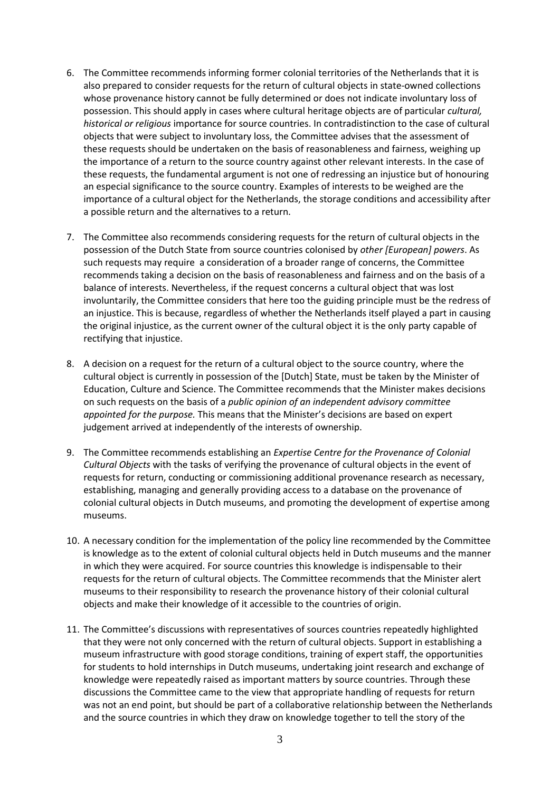- 6. The Committee recommends informing former colonial territories of the Netherlands that it is also prepared to consider requests for the return of cultural objects in state-owned collections whose provenance history cannot be fully determined or does not indicate involuntary loss of possession. This should apply in cases where cultural heritage objects are of particular *cultural, historical or religious* importance for source countries. In contradistinction to the case of cultural objects that were subject to involuntary loss, the Committee advises that the assessment of these requests should be undertaken on the basis of reasonableness and fairness, weighing up the importance of a return to the source country against other relevant interests. In the case of these requests, the fundamental argument is not one of redressing an injustice but of honouring an especial significance to the source country. Examples of interests to be weighed are the importance of a cultural object for the Netherlands, the storage conditions and accessibility after a possible return and the alternatives to a return.
- 7. The Committee also recommends considering requests for the return of cultural objects in the possession of the Dutch State from source countries colonised by *other [European] powers*. As such requests may require a consideration of a broader range of concerns, the Committee recommends taking a decision on the basis of reasonableness and fairness and on the basis of a balance of interests. Nevertheless, if the request concerns a cultural object that was lost involuntarily, the Committee considers that here too the guiding principle must be the redress of an injustice. This is because, regardless of whether the Netherlands itself played a part in causing the original injustice, as the current owner of the cultural object it is the only party capable of rectifying that injustice.
- 8. A decision on a request for the return of a cultural object to the source country, where the cultural object is currently in possession of the [Dutch] State, must be taken by the Minister of Education, Culture and Science. The Committee recommends that the Minister makes decisions on such requests on the basis of a *public opinion of an independent advisory committee appointed for the purpose.* This means that the Minister's decisions are based on expert judgement arrived at independently of the interests of ownership.
- 9. The Committee recommends establishing an *Expertise Centre for the Provenance of Colonial Cultural Objects* with the tasks of verifying the provenance of cultural objects in the event of requests for return, conducting or commissioning additional provenance research as necessary, establishing, managing and generally providing access to a database on the provenance of colonial cultural objects in Dutch museums, and promoting the development of expertise among museums.
- 10. A necessary condition for the implementation of the policy line recommended by the Committee is knowledge as to the extent of colonial cultural objects held in Dutch museums and the manner in which they were acquired. For source countries this knowledge is indispensable to their requests for the return of cultural objects. The Committee recommends that the Minister alert museums to their responsibility to research the provenance history of their colonial cultural objects and make their knowledge of it accessible to the countries of origin.
- 11. The Committee's discussions with representatives of sources countries repeatedly highlighted that they were not only concerned with the return of cultural objects. Support in establishing a museum infrastructure with good storage conditions, training of expert staff, the opportunities for students to hold internships in Dutch museums, undertaking joint research and exchange of knowledge were repeatedly raised as important matters by source countries. Through these discussions the Committee came to the view that appropriate handling of requests for return was not an end point, but should be part of a collaborative relationship between the Netherlands and the source countries in which they draw on knowledge together to tell the story of the